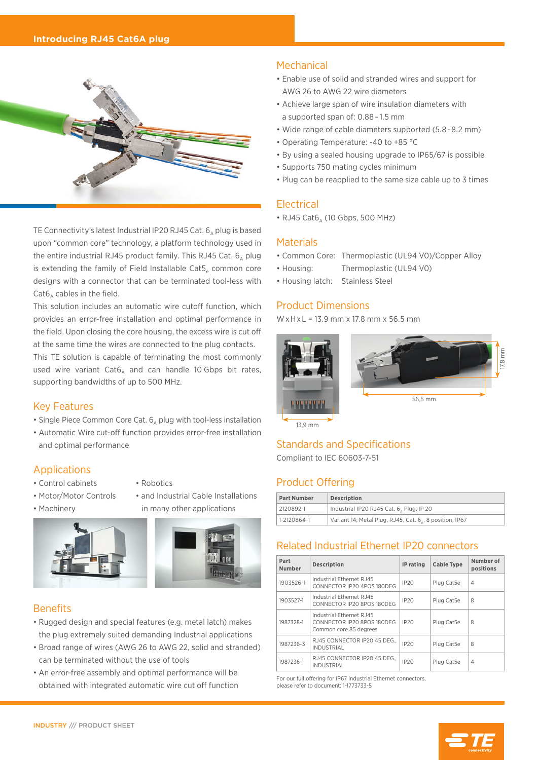

TE Connectivity's latest Industrial IP20 RJ45 Cat.  $6_A$  plug is based upon "common core" technology, a platform technology used in the entire industrial RJ45 product family. This RJ45 Cat.  $6_a$  plug is extending the family of Field Installable Cat5, common core designs with a connector that can be terminated tool-less with Cat6, cables in the field.

This solution includes an automatic wire cutoff function, which provides an error-free installation and optimal performance in the field. Upon closing the core housing, the excess wire is cut off at the same time the wires are connected to the plug contacts.

This TE solution is capable of terminating the most commonly used wire variant  $Cat6<sub>A</sub>$  and can handle 10 Gbps bit rates, supporting bandwidths of up to 500 MHz.

### Key Features

- Single Piece Common Core Cat.  $6_A$  plug with tool-less installation
- Automatic Wire cut-off function provides error-free installation and optimal performance

# Applications

- Control cabinets Robotics
	-
- Motor/Motor Controls and Industrial Cable Installations
	-
- 
- Machinery in many other applications





### **Benefits**

- Rugged design and special features (e.g. metal latch) makes the plug extremely suited demanding Industrial applications
- Broad range of wires (AWG 26 to AWG 22, solid and stranded) can be terminated without the use of tools
- An error-free assembly and optimal performance will be obtained with integrated automatic wire cut off function

# Mechanical

- Enable use of solid and stranded wires and support for AWG 26 to AWG 22 wire diameters
- Achieve large span of wire insulation diameters with a supported span of: 0.88 – 1.5 mm
- Wide range of cable diameters supported (5.8 - 8.2 mm)
- Operating Temperature: -40 to +85 °C
- By using a sealed housing upgrade to IP65/67 is possible
- Supports 750 mating cycles minimum
- Plug can be reapplied to the same size cable up to 3 times

### **Electrical**

 $\bullet$  RJ45 Cat6 $_{\text{A}}$  (10 Gbps, 500 MHz)

### **Materials**

- Common Core: Thermoplastic (UL94 V0)/Copper Alloy
- Housing: Thermoplastic (UL94 V0)
- Housing latch: Stainless Steel

### Product Dimensions

W x H x L = 13.9 mm x 17.8 mm x 56.5 mm



# Standards and Specifications

Compliant to IEC 60603-7-51

# Product Offering

| <b>Part Number</b> | <b>Description</b>                                      |  |  |
|--------------------|---------------------------------------------------------|--|--|
| 2120892-1          | Industrial IP20 RJ45 Cat. 6, Plug, IP 20                |  |  |
| 1-2120864-1        | Variant 14; Metal Plug, RJ45, Cat. 6,, 8 position, IP67 |  |  |

# Related Industrial Ethernet IP20 connectors

| Part<br><b>Number</b> | <b>Description</b>                                                               | IP rating | <b>Cable Type</b> | Number of<br>positions |
|-----------------------|----------------------------------------------------------------------------------|-----------|-------------------|------------------------|
| 1903526-1             | Industrial Ethernet RJ45<br>CONNECTOR IP20 4POS 180DEG                           | IP20      | Plug Cat5e        | $\overline{4}$         |
| 1903527-1             | Industrial Ethernet RJ45<br>CONNECTOR IP20 8POS 180DEG                           | IP20      | Plug Cat5e        | 8                      |
| 1987328-1             | Industrial Ethernet RJ45<br>CONNECTOR IP20 8POS 180DEG<br>Common core 85 degrees | IP20      | Plug Cat5e        | 8                      |
| 1987236-3             | RJ45 CONNECTOR IP20 45 DEG.<br><b>INDUSTRIAL</b>                                 | IP20      | Plug Cat5e        | 8                      |
| 1987236-1             | RJ45 CONNECTOR IP20 45 DEG.<br><b>INDUSTRIAL</b>                                 | IP20      | Plug Cat5e        | $\overline{4}$         |

For our full offering for IP67 Industrial Ethernet connectors, please refer to document: 1-1773733-5